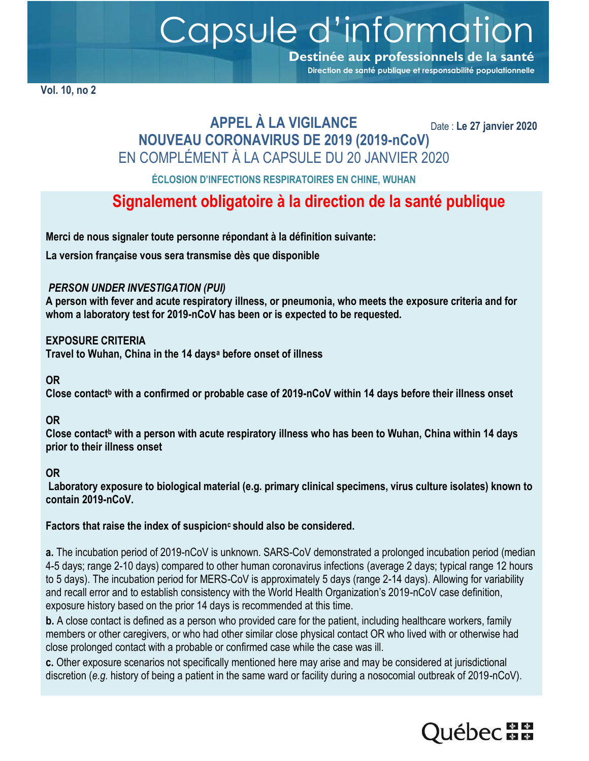Capsule d'information **Destinée aux professionnels de la santé**

**(T. Vol. 10, no 2**

### **APPEL À LA VIGILANCE NOUVEAU CORONAVIRUS DE 2019 (2019-nCoV)** EN COMPLÉMENT À LA CAPSULE DU 20 JANVIER 2020

Date : **Le 27 janvier 2020**

**Direction de santé publique et responsabilité populationnelle**

**ÉCLOSION D'INFECTIONS RESPIRATOIRES EN CHINE, WUHAN**

## **Signalement obligatoire à la direction de la santé publique**

**Merci de nous signaler toute personne répondant à la définition suivante:** 

**La version française vous sera transmise dès que disponible**

#### *PERSON UNDER INVESTIGATION (PUI)*

**A person with fever and acute respiratory illness, or pneumonia, who meets the exposure criteria and for whom a laboratory test for 2019-nCoV has been or is expected to be requested.** 

#### **EXPOSURE CRITERIA**

**Travel to Wuhan, China in the 14 days<sup>a</sup> before onset of illness** 

#### **OR**

**Close contact<sup>b</sup> with a confirmed or probable case of 2019-nCoV within 14 days before their illness onset** 

#### **OR**

**Close contact<sup>b</sup> with a person with acute respiratory illness who has been to Wuhan, China within 14 days prior to their illness onset** 

#### **OR**

**Laboratory exposure to biological material (e.g. primary clinical specimens, virus culture isolates) known to contain 2019-nCoV.** 

#### **Factors that raise the index of suspicionc should also be considered.**

**a.** The incubation period of 2019-nCoV is unknown. SARS-CoV demonstrated a prolonged incubation period (median 4-5 days; range 2-10 days) compared to other human coronavirus infections (average 2 days; typical range 12 hours to 5 days). The incubation period for MERS-CoV is approximately 5 days (range 2-14 days). Allowing for variability and recall error and to establish consistency with the World Health Organization's 2019-nCoV case definition, exposure history based on the prior 14 days is recommended at this time.

**b.** A close contact is defined as a person who provided care for the patient, including healthcare workers, family members or other caregivers, or who had other similar close physical contact OR who lived with or otherwise had close prolonged contact with a probable or confirmed case while the case was ill.

**c.** Other exposure scenarios not specifically mentioned here may arise and may be considered at jurisdictional discretion (*e.g.* history of being a patient in the same ward or facility during a nosocomial outbreak of 2019-nCoV).

# **Luébec na m**